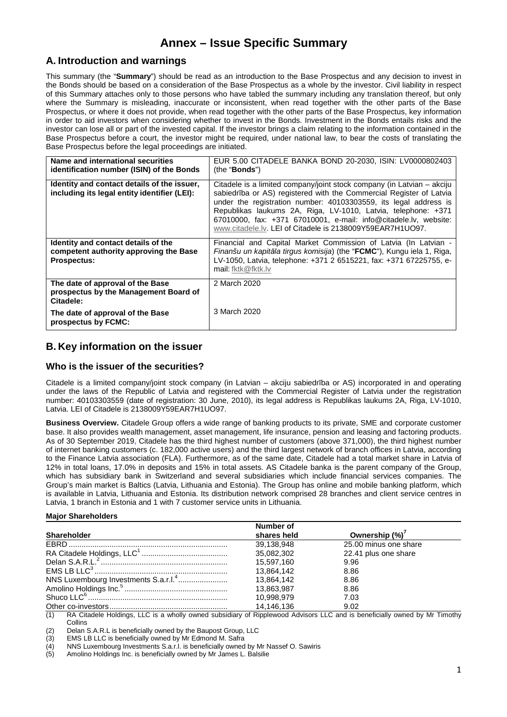# **Annex – Issue Specific Summary**

# **A. Introduction and warnings**

This summary (the "**Summary**") should be read as an introduction to the Base Prospectus and any decision to invest in the Bonds should be based on a consideration of the Base Prospectus as a whole by the investor. Civil liability in respect of this Summary attaches only to those persons who have tabled the summary including any translation thereof, but only where the Summary is misleading, inaccurate or inconsistent, when read together with the other parts of the Base Prospectus, or where it does not provide, when read together with the other parts of the Base Prospectus, key information in order to aid investors when considering whether to invest in the Bonds. Investment in the Bonds entails risks and the investor can lose all or part of the invested capital. If the investor brings a claim relating to the information contained in the Base Prospectus before a court, the investor might be required, under national law, to bear the costs of translating the Base Prospectus before the legal proceedings are initiated.

| Name and international securities<br>identification number (ISIN) of the Bonds                      | EUR 5.00 CITADELE BANKA BOND 20-2030, ISIN: LV0000802403<br>(the " <b>Bonds</b> ")                                                                                                                                                                                                                                                                                                                                  |
|-----------------------------------------------------------------------------------------------------|---------------------------------------------------------------------------------------------------------------------------------------------------------------------------------------------------------------------------------------------------------------------------------------------------------------------------------------------------------------------------------------------------------------------|
| Identity and contact details of the issuer,<br>including its legal entity identifier (LEI):         | Citadele is a limited company/joint stock company (in Latvian – akciju<br>sabiedrība or AS) registered with the Commercial Register of Latvia<br>under the registration number: 40103303559, its legal address is<br>Republikas laukums 2A, Riga, LV-1010, Latvia, telephone: +371<br>67010000, fax: +371 67010001, e-mail: info@citadele.lv, website:<br>www.citadele.ly. LEI of Citadele is 2138009Y59EAR7H1UO97. |
| Identity and contact details of the<br>competent authority approving the Base<br><b>Prospectus:</b> | Financial and Capital Market Commission of Latvia (In Latvian -<br>Finanšu un kapitāla tirgus komisija) (the "FCMC"), Kungu iela 1, Riga,<br>LV-1050, Latvia, telephone: +371 2 6515221, fax: +371 67225755, e-<br>mail: fktk@fktk.lv                                                                                                                                                                               |
| The date of approval of the Base<br>prospectus by the Management Board of<br>Citadele:              | 2 March 2020                                                                                                                                                                                                                                                                                                                                                                                                        |
| The date of approval of the Base<br>prospectus by FCMC:                                             | 3 March 2020                                                                                                                                                                                                                                                                                                                                                                                                        |

# **B. Key information on the issuer**

### **Who is the issuer of the securities?**

Citadele is a limited company/joint stock company (in Latvian – akciju sabiedrība or AS) incorporated in and operating under the laws of the Republic of Latvia and registered with the Commercial Register of Latvia under the registration number: 40103303559 (date of registration: 30 June, 2010), its legal address is Republikas laukums 2A, Riga, LV-1010, Latvia. LEI of Citadele is 2138009Y59EAR7H1UO97.

**Business Overview.** Citadele Group offers a wide range of banking products to its private, SME and corporate customer base. It also provides wealth management, asset management, life insurance, pension and leasing and factoring products. As of 30 September 2019, Citadele has the third highest number of customers (above 371,000), the third highest number of internet banking customers (c. 182,000 active users) and the third largest network of branch offices in Latvia, according to the Finance Latvia association (FLA). Furthermore, as of the same date, Citadele had a total market share in Latvia of 12% in total loans, 17.0% in deposits and 15% in total assets. AS Citadele banka is the parent company of the Group, which has subsidiary bank in Switzerland and several subsidiaries which include financial services companies. The Group's main market is Baltics (Latvia, Lithuania and Estonia). The Group has online and mobile banking platform, which is available in Latvia, Lithuania and Estonia. Its distribution network comprised 28 branches and client service centres in Latvia, 1 branch in Estonia and 1 with 7 customer service units in Lithuania.

### **Major Shareholders**

|                                                  | Number of   |                       |  |
|--------------------------------------------------|-------------|-----------------------|--|
| <b>Shareholder</b>                               | shares held | Ownership $(\%)^7$    |  |
|                                                  | 39,138,948  | 25.00 minus one share |  |
|                                                  | 35,082,302  | 22.41 plus one share  |  |
|                                                  | 15,597,160  | 9.96                  |  |
|                                                  | 13,864,142  | 8.86                  |  |
| NNS Luxembourg Investments S.a.r.l. <sup>4</sup> | 13.864.142  | 8.86                  |  |
|                                                  | 13,863,987  | 8.86                  |  |
|                                                  | 10,998,979  | 7.03                  |  |
|                                                  | 14.146.136  | 9.02                  |  |

(1) RA Citadele Holdings, LLC is a wholly owned subsidiary of Ripplewood Advisors LLC and is beneficially owned by Mr Timothy **Collins** 

(2) Delan S.A.R.L is beneficially owned by the Baupost Group, LLC

EMS LB LLC is beneficially owned by Mr Edmond M. Safra

 $\overline{(4)}$  NNS Luxembourg Investments S.a.r.l. is beneficially owned by Mr Nassef O. Sawiris (5) Amolino Holdings Inc. is beneficially owned by Mr James L. Balsilie

Amolino Holdings Inc. is beneficially owned by Mr James L. Balsilie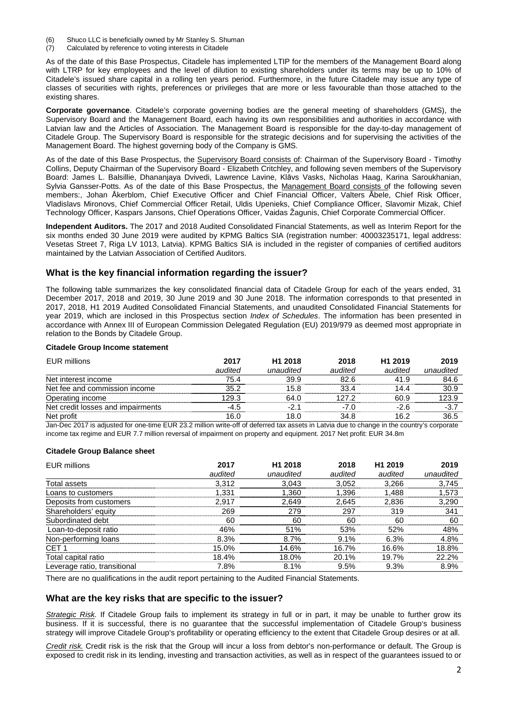- (6) Shuco LLC is beneficially owned by Mr Stanley S. Shuman
- (7) Calculated by reference to voting interests in Citadele

As of the date of this Base Prospectus, Citadele has implemented LTIP for the members of the Management Board along with LTRP for key employees and the level of dilution to existing shareholders under its terms may be up to 10% of Citadele's issued share capital in a rolling ten years period. Furthermore, in the future Citadele may issue any type of classes of securities with rights, preferences or privileges that are more or less favourable than those attached to the existing shares.

**Corporate governance**. Citadele's corporate governing bodies are the general meeting of shareholders (GMS), the Supervisory Board and the Management Board, each having its own responsibilities and authorities in accordance with Latvian law and the Articles of Association. The Management Board is responsible for the day-to-day management of Citadele Group. The Supervisory Board is responsible for the strategic decisions and for supervising the activities of the Management Board. The highest governing body of the Company is GMS.

As of the date of this Base Prospectus, the Supervisory Board consists of: Chairman of the Supervisory Board - Timothy Collins, Deputy Chairman of the Supervisory Board - Elizabeth Critchley, and following seven members of the Supervisory Board: James L. Balsillie, Dhananjaya Dvivedi, Lawrence Lavine, Klāvs Vasks, Nicholas Haag, Karina Saroukhanian, Sylvia Gansser-Potts. As of the date of this Base Prospectus, the Management Board consists of the following seven members:, Johan Åkerblom, Chief Executive Officer and Chief Financial Officer, Valters Ābele, Chief Risk Officer, Vladislavs Mironovs, Chief Commercial Officer Retail, Uldis Upenieks, Chief Compliance Officer, Slavomir Mizak, Chief Technology Officer, Kaspars Jansons, Chief Operations Officer, Vaidas Žagunis, Chief Corporate Commercial Officer.

**Independent Auditors.** The 2017 and 2018 Audited Consolidated Financial Statements, as well as Interim Report for the six months ended 30 June 2019 were audited by KPMG Baltics SIA (registration number: 40003235171, legal address: Vesetas Street 7, Riga LV 1013, Latvia). KPMG Baltics SIA is included in the register of companies of certified auditors maintained by the Latvian Association of Certified Auditors.

### **What is the key financial information regarding the issuer?**

The following table summarizes the key consolidated financial data of Citadele Group for each of the years ended, 31 December 2017, 2018 and 2019, 30 June 2019 and 30 June 2018. The information corresponds to that presented in 2017, 2018, H1 2019 Audited Consolidated Financial Statements, and unaudited Consolidated Financial Statements for year 2019, which are inclosed in this Prospectus section *Index of Schedules*. The information has been presented in accordance with Annex III of European Commission Delegated Regulation (EU) 2019/979 as deemed most appropriate in relation to the Bonds by Citadele Group.

#### **Citadele Group Income statement**

| <b>EUR millions</b>               | 2017    | H <sub>1</sub> 2018 | 2018    | H <sub>1</sub> 2019 | 2019      |
|-----------------------------------|---------|---------------------|---------|---------------------|-----------|
|                                   | audited | unaudited           | audited | audited             | unaudited |
| Net interest income               | 75.4    | 39.9                | 82.6    | 41.9                | 84.6      |
| Net fee and commission income     | 35.2    | 15.8                | 33.4    | 14.4                | 30.9      |
| Operating income                  | 129.3   | 64.0                | 127 2   | 60.9                | 123.9     |
| Net credit losses and impairments | $-4.5$  | -21                 | $-7.0$  | -2 6                | $-3.7$    |
| Net profit                        | 16.0    | 18.0                | 34.8    | 16.2                | 36.5      |

Jan-Dec 2017 is adjusted for one-time EUR 23.2 million write-off of deferred tax assets in Latvia due to change in the country's corporate income tax regime and EUR 7.7 million reversal of impairment on property and equipment. 2017 Net profit: EUR 34.8m

#### **Citadele Group Balance sheet**

| <b>EUR millions</b>          | 2017    | H <sub>1</sub> 2018 | 2018    | H <sub>1</sub> 2019 | 2019      |
|------------------------------|---------|---------------------|---------|---------------------|-----------|
|                              | audited | unaudited           | audited | audited             | unaudited |
| Total assets                 | 3,312   | 3,043               | 3,052   | 3,266               | 3,745     |
| Loans to customers           | 1.331   | .360                | 1.396   | 1.488               | 1,573     |
| Deposits from customers      | 2.917   | 2.649               | 2.645   | 2,836               | 3,290     |
| Shareholders' equity         | 269     | 279                 | 297     | 319                 | 341       |
| Subordinated debt            | 60      | 60                  | 60      | 60                  | 60        |
| Loan-to-deposit ratio        | 46%     | 51%                 | 53%     | 52%                 | 48%       |
| Non-performing loans         | 8.3%    | 8.7%                | 9.1%    | 6.3%                | 4.8%      |
| CET <sub>1</sub>             | 15.0%   | 14.6%               | 16.7%   | 16.6%               | 18.8%     |
| Total capital ratio          | 18.4%   | 18.0%               | 20.1%   | 19.7%               | 22.2%     |
| Leverage ratio, transitional | 7.8%    | 8.1%                | 9.5%    | 9.3%                | 8.9%      |

There are no qualifications in the audit report pertaining to the Audited Financial Statements.

### **What are the key risks that are specific to the issuer?**

Strategic Risk. If Citadele Group fails to implement its strategy in full or in part, it may be unable to further grow its business. If it is successful, there is no guarantee that the successful implementation of Citadele Group's business strategy will improve Citadele Group's profitability or operating efficiency to the extent that Citadele Group desires or at all.

Credit risk. Credit risk is the risk that the Group will incur a loss from debtor's non-performance or default. The Group is exposed to credit risk in its lending, investing and transaction activities, as well as in respect of the guarantees issued to or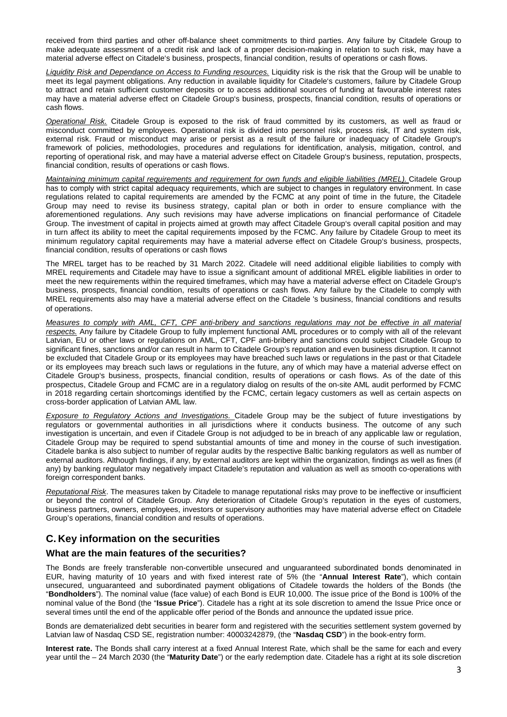received from third parties and other off-balance sheet commitments to third parties. Any failure by Citadele Group to make adequate assessment of a credit risk and lack of a proper decision-making in relation to such risk, may have a material adverse effect on Citadele's business, prospects, financial condition, results of operations or cash flows.

Liquidity Risk and Dependance on Access to Funding resources. Liquidity risk is the risk that the Group will be unable to meet its legal payment obligations. Any reduction in available liquidity for Citadele's customers, failure by Citadele Group to attract and retain sufficient customer deposits or to access additional sources of funding at favourable interest rates may have a material adverse effect on Citadele Group's business, prospects, financial condition, results of operations or cash flows.

Operational Risk. Citadele Group is exposed to the risk of fraud committed by its customers, as well as fraud or misconduct committed by employees. Operational risk is divided into personnel risk, process risk, IT and system risk, external risk. Fraud or misconduct may arise or persist as a result of the failure or inadequacy of Citadele Group's framework of policies, methodologies, procedures and regulations for identification, analysis, mitigation, control, and reporting of operational risk, and may have a material adverse effect on Citadele Group's business, reputation, prospects, financial condition, results of operations or cash flows.

Maintaining minimum capital requirements and requirement for own funds and eligible liabilities (MREL). Citadele Group has to comply with strict capital adequacy requirements, which are subject to changes in regulatory environment. In case regulations related to capital requirements are amended by the FCMC at any point of time in the future, the Citadele Group may need to revise its business strategy, capital plan or both in order to ensure compliance with the aforementioned regulations. Any such revisions may have adverse implications on financial performance of Citadele Group. The investment of capital in projects aimed at growth may affect Citadele Group's overall capital position and may in turn affect its ability to meet the capital requirements imposed by the FCMC. Any failure by Citadele Group to meet its minimum regulatory capital requirements may have a material adverse effect on Citadele Group's business, prospects, financial condition, results of operations or cash flows

The MREL target has to be reached by 31 March 2022. Citadele will need additional eligible liabilities to comply with MREL requirements and Citadele may have to issue a significant amount of additional MREL eligible liabilities in order to meet the new requirements within the required timeframes, which may have a material adverse effect on Citadele Group's business, prospects, financial condition, results of operations or cash flows. Any failure by the Citadele to comply with MREL requirements also may have a material adverse effect on the Citadele 's business, financial conditions and results of operations.

Measures to comply with AML, CFT, CPF anti-bribery and sanctions regulations may not be effective in all material respects. Any failure by Citadele Group to fully implement functional AML procedures or to comply with all of the relevant Latvian, EU or other laws or regulations on AML, CFT, CPF anti-bribery and sanctions could subject Citadele Group to significant fines, sanctions and/or can result in harm to Citadele Group's reputation and even business disruption. It cannot be excluded that Citadele Group or its employees may have breached such laws or regulations in the past or that Citadele or its employees may breach such laws or regulations in the future, any of which may have a material adverse effect on Citadele Group's business, prospects, financial condition, results of operations or cash flows. As of the date of this prospectus, Citadele Group and FCMC are in a regulatory dialog on results of the on-site AML audit performed by FCMC in 2018 regarding certain shortcomings identified by the FCMC, certain legacy customers as well as certain aspects on cross-border application of Latvian AML law.

Exposure to Regulatory Actions and Investigations. Citadele Group may be the subject of future investigations by regulators or governmental authorities in all jurisdictions where it conducts business. The outcome of any such investigation is uncertain, and even if Citadele Group is not adjudged to be in breach of any applicable law or regulation, Citadele Group may be required to spend substantial amounts of time and money in the course of such investigation. Citadele banka is also subject to number of regular audits by the respective Baltic banking regulators as well as number of external auditors. Although findings, if any, by external auditors are kept within the organization, findings as well as fines (if any) by banking regulator may negatively impact Citadele's reputation and valuation as well as smooth co-operations with foreign correspondent banks.

Reputational Risk. The measures taken by Citadele to manage reputational risks may prove to be ineffective or insufficient or beyond the control of Citadele Group. Any deterioration of Citadele Group's reputation in the eyes of customers, business partners, owners, employees, investors or supervisory authorities may have material adverse effect on Citadele Group's operations, financial condition and results of operations.

# **C. Key information on the securities**

### **What are the main features of the securities?**

The Bonds are freely transferable non-convertible unsecured and unguaranteed subordinated bonds denominated in EUR, having maturity of 10 years and with fixed interest rate of 5% (the "**Annual Interest Rate**"), which contain unsecured, unguaranteed and subordinated payment obligations of Citadele towards the holders of the Bonds (the "**Bondholders**"). The nominal value (face value) of each Bond is EUR 10,000. The issue price of the Bond is 100% of the nominal value of the Bond (the "**Issue Price**"). Citadele has a right at its sole discretion to amend the Issue Price once or several times until the end of the applicable offer period of the Bonds and announce the updated issue price.

Bonds are dematerialized debt securities in bearer form and registered with the securities settlement system governed by Latvian law of Nasdaq CSD SE, registration number: 40003242879, (the "**Nasdaq CSD**") in the book-entry form.

**Interest rate.** The Bonds shall carry interest at a fixed Annual Interest Rate, which shall be the same for each and every year until the – 24 March 2030 (the "**Maturity Date**") or the early redemption date. Citadele has a right at its sole discretion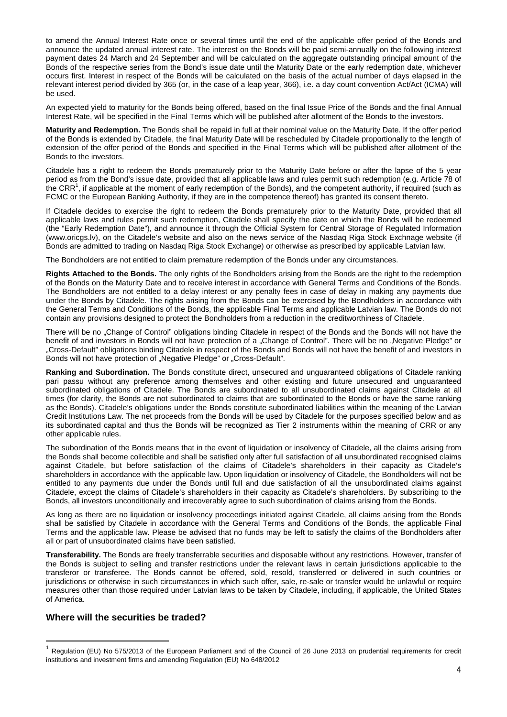to amend the Annual Interest Rate once or several times until the end of the applicable offer period of the Bonds and announce the updated annual interest rate. The interest on the Bonds will be paid semi-annually on the following interest payment dates 24 March and 24 September and will be calculated on the aggregate outstanding principal amount of the Bonds of the respective series from the Bond's issue date until the Maturity Date or the early redemption date, whichever occurs first. Interest in respect of the Bonds will be calculated on the basis of the actual number of days elapsed in the relevant interest period divided by 365 (or, in the case of a leap year, 366), i.e. a day count convention Act/Act (ICMA) will be used.

An expected yield to maturity for the Bonds being offered, based on the final Issue Price of the Bonds and the final Annual Interest Rate, will be specified in the Final Terms which will be published after allotment of the Bonds to the investors.

**Maturity and Redemption.** The Bonds shall be repaid in full at their nominal value on the Maturity Date. If the offer period of the Bonds is extended by Citadele, the final Maturity Date will be rescheduled by Citadele proportionally to the length of extension of the offer period of the Bonds and specified in the Final Terms which will be published after allotment of the Bonds to the investors.

Citadele has a right to redeem the Bonds prematurely prior to the Maturity Date before or after the lapse of the 5 year period as from the Bond's issue date, provided that all applicable laws and rules permit such redemption (e.g. Article 78 of the CRR<sup>1</sup>, if applicable at the moment of early redemption of the Bonds), and the competent authority, if required (such as FCMC or the European Banking Authority, if they are in the competence thereof) has granted its consent thereto.

If Citadele decides to exercise the right to redeem the Bonds prematurely prior to the Maturity Date, provided that all applicable laws and rules permit such redemption, Citadele shall specify the date on which the Bonds will be redeemed (the "Early Redemption Date"), and announce it through the Official System for Central Storage of Regulated Information (www.oricgs.lv), on the Citadele's website and also on the news service of the Nasdaq Riga Stock Exchnage website (if Bonds are admitted to trading on Nasdaq Riga Stock Exchange) or otherwise as prescribed by applicable Latvian law.

The Bondholders are not entitled to claim premature redemption of the Bonds under any circumstances.

**Rights Attached to the Bonds.** The only rights of the Bondholders arising from the Bonds are the right to the redemption of the Bonds on the Maturity Date and to receive interest in accordance with General Terms and Conditions of the Bonds. The Bondholders are not entitled to a delay interest or any penalty fees in case of delay in making any payments due under the Bonds by Citadele. The rights arising from the Bonds can be exercised by the Bondholders in accordance with the General Terms and Conditions of the Bonds, the applicable Final Terms and applicable Latvian law. The Bonds do not contain any provisions designed to protect the Bondholders from a reduction in the creditworthiness of Citadele.

There will be no . Change of Control" obligations binding Citadele in respect of the Bonds and the Bonds will not have the benefit of and investors in Bonds will not have protection of a "Change of Control". There will be no "Negative Pledge" or "Cross-Default" obligations binding Citadele in respect of the Bonds and Bonds will not have the benefit of and investors in Bonds will not have protection of "Negative Pledge" or "Cross-Default".

**Ranking and Subordination.** The Bonds constitute direct, unsecured and unguaranteed obligations of Citadele ranking pari passu without any preference among themselves and other existing and future unsecured and unguaranteed subordinated obligations of Citadele. The Bonds are subordinated to all unsubordinated claims against Citadele at all times (for clarity, the Bonds are not subordinated to claims that are subordinated to the Bonds or have the same ranking as the Bonds). Citadele's obligations under the Bonds constitute subordinated liabilities within the meaning of the Latvian Credit Institutions Law. The net proceeds from the Bonds will be used by Citadele for the purposes specified below and as its subordinated capital and thus the Bonds will be recognized as Tier 2 instruments within the meaning of CRR or any other applicable rules.

The subordination of the Bonds means that in the event of liquidation or insolvency of Citadele, all the claims arising from the Bonds shall become collectible and shall be satisfied only after full satisfaction of all unsubordinated recognised claims against Citadele, but before satisfaction of the claims of Citadele's shareholders in their capacity as Citadele's shareholders in accordance with the applicable law. Upon liquidation or insolvency of Citadele, the Bondholders will not be entitled to any payments due under the Bonds until full and due satisfaction of all the unsubordinated claims against Citadele, except the claims of Citadele's shareholders in their capacity as Citadele's shareholders. By subscribing to the Bonds, all investors unconditionally and irrecoverably agree to such subordination of claims arising from the Bonds.

As long as there are no liquidation or insolvency proceedings initiated against Citadele, all claims arising from the Bonds shall be satisfied by Citadele in accordance with the General Terms and Conditions of the Bonds, the applicable Final Terms and the applicable law. Please be advised that no funds may be left to satisfy the claims of the Bondholders after all or part of unsubordinated claims have been satisfied.

**Transferability.** The Bonds are freely transferrable securities and disposable without any restrictions. However, transfer of the Bonds is subject to selling and transfer restrictions under the relevant laws in certain jurisdictions applicable to the transferor or transferee. The Bonds cannot be offered, sold, resold, transferred or delivered in such countries or jurisdictions or otherwise in such circumstances in which such offer, sale, re-sale or transfer would be unlawful or require measures other than those required under Latvian laws to be taken by Citadele, including, if applicable, the United States of America.

### **Where will the securities be traded?**

l

<sup>1</sup> Regulation (EU) No 575/2013 of the European Parliament and of the Council of 26 June 2013 on prudential requirements for credit institutions and investment firms and amending Regulation (EU) No 648/2012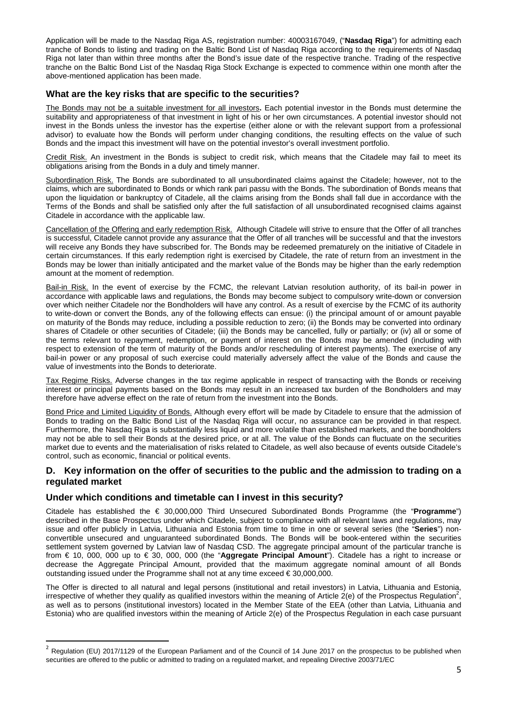Application will be made to the Nasdaq Riga AS, registration number: 40003167049, ("**Nasdaq Riga**") for admitting each tranche of Bonds to listing and trading on the Baltic Bond List of Nasdaq Riga according to the requirements of Nasdaq Riga not later than within three months after the Bond's issue date of the respective tranche. Trading of the respective tranche on the Baltic Bond List of the Nasdaq Riga Stock Exchange is expected to commence within one month after the above-mentioned application has been made.

# **What are the key risks that are specific to the securities?**

The Bonds may not be a suitable investment for all investors**.** Each potential investor in the Bonds must determine the suitability and appropriateness of that investment in light of his or her own circumstances. A potential investor should not invest in the Bonds unless the investor has the expertise (either alone or with the relevant support from a professional advisor) to evaluate how the Bonds will perform under changing conditions, the resulting effects on the value of such Bonds and the impact this investment will have on the potential investor's overall investment portfolio.

Credit Risk. An investment in the Bonds is subject to credit risk, which means that the Citadele may fail to meet its obligations arising from the Bonds in a duly and timely manner.

Subordination Risk. The Bonds are subordinated to all unsubordinated claims against the Citadele; however, not to the claims, which are subordinated to Bonds or which rank pari passu with the Bonds. The subordination of Bonds means that upon the liquidation or bankruptcy of Citadele, all the claims arising from the Bonds shall fall due in accordance with the Terms of the Bonds and shall be satisfied only after the full satisfaction of all unsubordinated recognised claims against Citadele in accordance with the applicable law.

Cancellation of the Offering and early redemption Risk.Although Citadele will strive to ensure that the Offer of all tranches is successful, Citadele cannot provide any assurance that the Offer of all tranches will be successful and that the investors will receive any Bonds they have subscribed for. The Bonds may be redeemed prematurely on the initiative of Citadele in certain circumstances. If this early redemption right is exercised by Citadele, the rate of return from an investment in the Bonds may be lower than initially anticipated and the market value of the Bonds may be higher than the early redemption amount at the moment of redemption.

Bail-in Risk. In the event of exercise by the FCMC, the relevant Latvian resolution authority, of its bail-in power in accordance with applicable laws and regulations, the Bonds may become subject to compulsory write-down or conversion over which neither Citadele nor the Bondholders will have any control. As a result of exercise by the FCMC of its authority to write-down or convert the Bonds, any of the following effects can ensue: (i) the principal amount of or amount payable on maturity of the Bonds may reduce, including a possible reduction to zero; (ii) the Bonds may be converted into ordinary shares of Citadele or other securities of Citadele; (iii) the Bonds may be cancelled, fully or partially; or (iv) all or some of the terms relevant to repayment, redemption, or payment of interest on the Bonds may be amended (including with respect to extension of the term of maturity of the Bonds and/or rescheduling of interest payments). The exercise of any bail-in power or any proposal of such exercise could materially adversely affect the value of the Bonds and cause the value of investments into the Bonds to deteriorate.

Tax Regime Risks. Adverse changes in the tax regime applicable in respect of transacting with the Bonds or receiving interest or principal payments based on the Bonds may result in an increased tax burden of the Bondholders and may therefore have adverse effect on the rate of return from the investment into the Bonds.

Bond Price and Limited Liquidity of Bonds. Although every effort will be made by Citadele to ensure that the admission of Bonds to trading on the Baltic Bond List of the Nasdaq Riga will occur, no assurance can be provided in that respect. Furthermore, the Nasdaq Riga is substantially less liquid and more volatile than established markets, and the bondholders may not be able to sell their Bonds at the desired price, or at all. The value of the Bonds can fluctuate on the securities market due to events and the materialisation of risks related to Citadele, as well also because of events outside Citadele's control, such as economic, financial or political events.

# **D. Key information on the offer of securities to the public and the admission to trading on a regulated market**

### **Under which conditions and timetable can I invest in this security?**

l

Citadele has established the € 30,000,000 Third Unsecured Subordinated Bonds Programme (the "**Programme**") described in the Base Prospectus under which Citadele, subject to compliance with all relevant laws and regulations, may issue and offer publicly in Latvia, Lithuania and Estonia from time to time in one or several series (the "**Series**") nonconvertible unsecured and unguaranteed subordinated Bonds. The Bonds will be book-entered within the securities settlement system governed by Latvian law of Nasdaq CSD. The aggregate principal amount of the particular tranche is from € 10, 000, 000 up to € 30, 000, 000 (the "**Aggregate Principal Amount**"). Citadele has a right to increase or decrease the Aggregate Principal Amount, provided that the maximum aggregate nominal amount of all Bonds outstanding issued under the Programme shall not at any time exceed € 30,000,000.

The Offer is directed to all natural and legal persons (institutional and retail investors) in Latvia, Lithuania and Estonia, irrespective of whether they qualify as qualified investors within the meaning of Article  $2(e)$  of the Prospectus Regulation<sup>2</sup>, as well as to persons (institutional investors) located in the Member State of the EEA (other than Latvia, Lithuania and Estonia) who are qualified investors within the meaning of Article 2(e) of the Prospectus Regulation in each case pursuant

<sup>&</sup>lt;sup>2</sup> Regulation (EU) 2017/1129 of the European Parliament and of the Council of 14 June 2017 on the prospectus to be published when securities are offered to the public or admitted to trading on a regulated market, and repealing Directive 2003/71/EC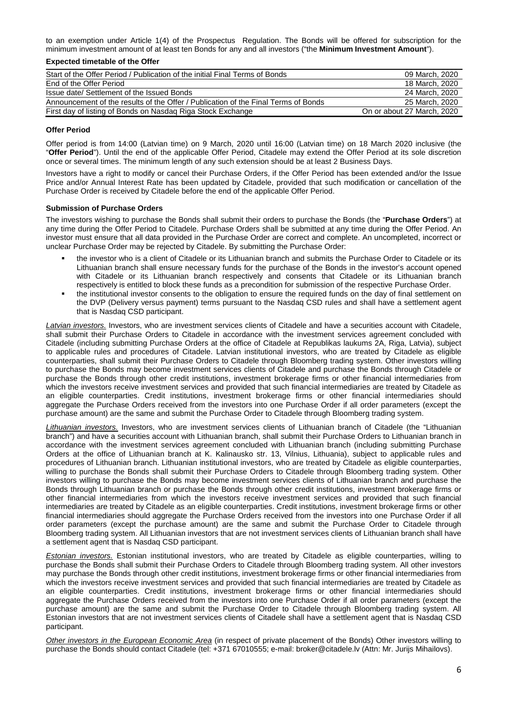to an exemption under Article 1(4) of the Prospectus Regulation. The Bonds will be offered for subscription for the minimum investment amount of at least ten Bonds for any and all investors ("the **Minimum Investment Amount**").

#### **Expected timetable of the Offer**

| Start of the Offer Period / Publication of the initial Final Terms of Bonds        | 09 March, 2020             |
|------------------------------------------------------------------------------------|----------------------------|
| End of the Offer Period                                                            | 18 March, 2020             |
| Issue date/ Settlement of the Issued Bonds                                         | 24 March, 2020             |
| Announcement of the results of the Offer / Publication of the Final Terms of Bonds | 25 March, 2020             |
| First day of listing of Bonds on Nasdaq Riga Stock Exchange                        | On or about 27 March, 2020 |

#### **Offer Period**

Offer period is from 14:00 (Latvian time) on 9 March, 2020 until 16:00 (Latvian time) on 18 March 2020 inclusive (the "**Offer Period**"). Until the end of the applicable Offer Period, Citadele may extend the Offer Period at its sole discretion once or several times. The minimum length of any such extension should be at least 2 Business Days.

Investors have a right to modify or cancel their Purchase Orders, if the Offer Period has been extended and/or the Issue Price and/or Annual Interest Rate has been updated by Citadele, provided that such modification or cancellation of the Purchase Order is received by Citadele before the end of the applicable Offer Period.

### **Submission of Purchase Orders**

The investors wishing to purchase the Bonds shall submit their orders to purchase the Bonds (the "**Purchase Orders**") at any time during the Offer Period to Citadele. Purchase Orders shall be submitted at any time during the Offer Period. An investor must ensure that all data provided in the Purchase Order are correct and complete. An uncompleted, incorrect or unclear Purchase Order may be rejected by Citadele. By submitting the Purchase Order:

- the investor who is a client of Citadele or its Lithuanian branch and submits the Purchase Order to Citadele or its Lithuanian branch shall ensure necessary funds for the purchase of the Bonds in the investor's account opened with Citadele or its Lithuanian branch respectively and consents that Citadele or its Lithuanian branch respectively is entitled to block these funds as a precondition for submission of the respective Purchase Order.
- the institutional investor consents to the obligation to ensure the required funds on the day of final settlement on the DVP (Delivery versus payment) terms pursuant to the Nasdaq CSD rules and shall have a settlement agent that is Nasdaq CSD participant.

Latvian investors. Investors, who are investment services clients of Citadele and have a securities account with Citadele. shall submit their Purchase Orders to Citadele in accordance with the investment services agreement concluded with Citadele (including submitting Purchase Orders at the office of Citadele at Republikas laukums 2A, Riga, Latvia), subject to applicable rules and procedures of Citadele. Latvian institutional investors, who are treated by Citadele as eligible counterparties, shall submit their Purchase Orders to Citadele through Bloomberg trading system. Other investors willing to purchase the Bonds may become investment services clients of Citadele and purchase the Bonds through Citadele or purchase the Bonds through other credit institutions, investment brokerage firms or other financial intermediaries from which the investors receive investment services and provided that such financial intermediaries are treated by Citadele as an eligible counterparties. Credit institutions, investment brokerage firms or other financial intermediaries should aggregate the Purchase Orders received from the investors into one Purchase Order if all order parameters (except the purchase amount) are the same and submit the Purchase Order to Citadele through Bloomberg trading system.

Lithuanian investors. Investors, who are investment services clients of Lithuanian branch of Citadele (the "Lithuanian branch") and have a securities account with Lithuanian branch, shall submit their Purchase Orders to Lithuanian branch in accordance with the investment services agreement concluded with Lithuanian branch (including submitting Purchase Orders at the office of Lithuanian branch at K. Kalinausko str. 13, Vilnius, Lithuania), subject to applicable rules and procedures of Lithuanian branch. Lithuanian institutional investors, who are treated by Citadele as eligible counterparties, willing to purchase the Bonds shall submit their Purchase Orders to Citadele through Bloomberg trading system. Other investors willing to purchase the Bonds may become investment services clients of Lithuanian branch and purchase the Bonds through Lithuanian branch or purchase the Bonds through other credit institutions, investment brokerage firms or other financial intermediaries from which the investors receive investment services and provided that such financial intermediaries are treated by Citadele as an eligible counterparties. Credit institutions, investment brokerage firms or other financial intermediaries should aggregate the Purchase Orders received from the investors into one Purchase Order if all order parameters (except the purchase amount) are the same and submit the Purchase Order to Citadele through Bloomberg trading system. All Lithuanian investors that are not investment services clients of Lithuanian branch shall have a settlement agent that is Nasdaq CSD participant.

**Estonian investors.** Estonian institutional investors, who are treated by Citadele as eligible counterparties, willing to purchase the Bonds shall submit their Purchase Orders to Citadele through Bloomberg trading system. All other investors may purchase the Bonds through other credit institutions, investment brokerage firms or other financial intermediaries from which the investors receive investment services and provided that such financial intermediaries are treated by Citadele as an eligible counterparties. Credit institutions, investment brokerage firms or other financial intermediaries should aggregate the Purchase Orders received from the investors into one Purchase Order if all order parameters (except the purchase amount) are the same and submit the Purchase Order to Citadele through Bloomberg trading system. All Estonian investors that are not investment services clients of Citadele shall have a settlement agent that is Nasdaq CSD participant.

Other investors in the European Economic Area (in respect of private placement of the Bonds) Other investors willing to purchase the Bonds should contact Citadele (tel: +371 67010555; e-mail: broker@citadele.lv (Attn: Mr. Jurijs Mihailovs).